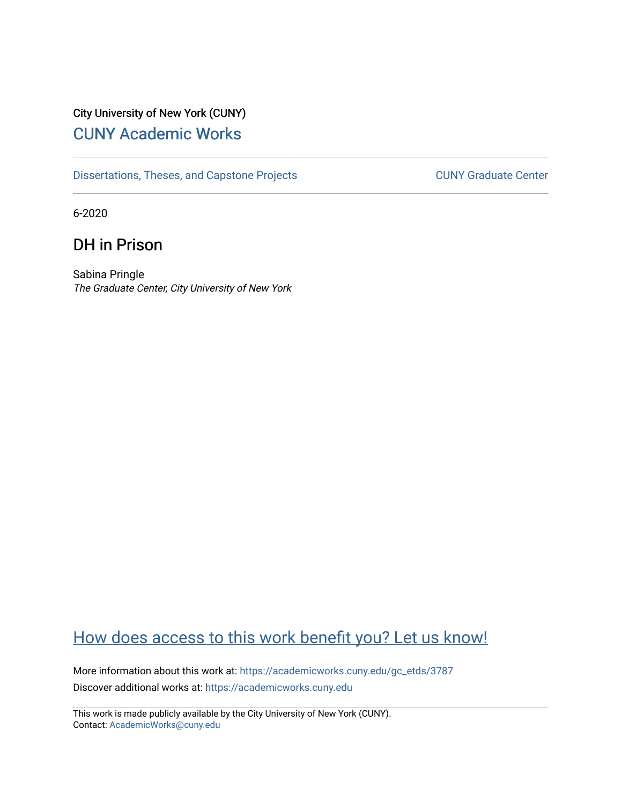# City University of New York (CUNY) [CUNY Academic Works](https://academicworks.cuny.edu/)

[Dissertations, Theses, and Capstone Projects](https://academicworks.cuny.edu/gc_etds) CUNY Graduate Center

6-2020

# DH in Prison

Sabina Pringle The Graduate Center, City University of New York

# [How does access to this work benefit you? Let us know!](http://ols.cuny.edu/academicworks/?ref=https://academicworks.cuny.edu/gc_etds/3787)

More information about this work at: [https://academicworks.cuny.edu/gc\\_etds/3787](https://academicworks.cuny.edu/gc_etds/3787) Discover additional works at: [https://academicworks.cuny.edu](https://academicworks.cuny.edu/?)

This work is made publicly available by the City University of New York (CUNY). Contact: [AcademicWorks@cuny.edu](mailto:AcademicWorks@cuny.edu)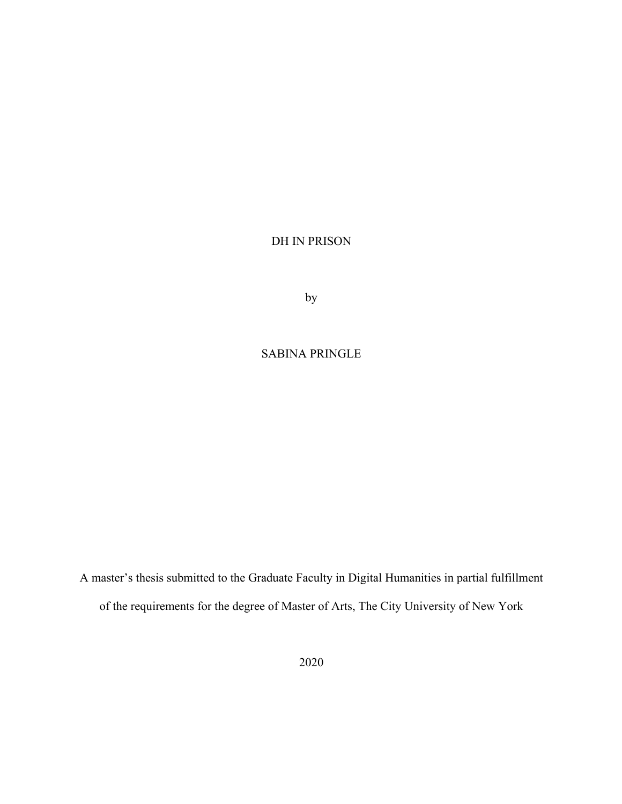DH IN PRISON

by

### SABINA PRINGLE

A master's thesis submitted to the Graduate Faculty in Digital Humanities in partial fulfillment of the requirements for the degree of Master of Arts, The City University of New York

2020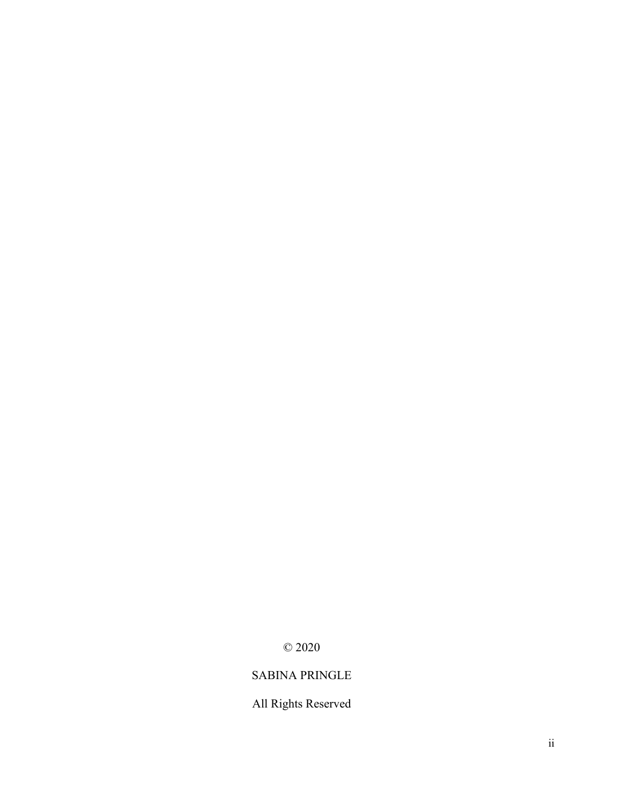© 2020

## SABINA PRINGLE

All Rights Reserved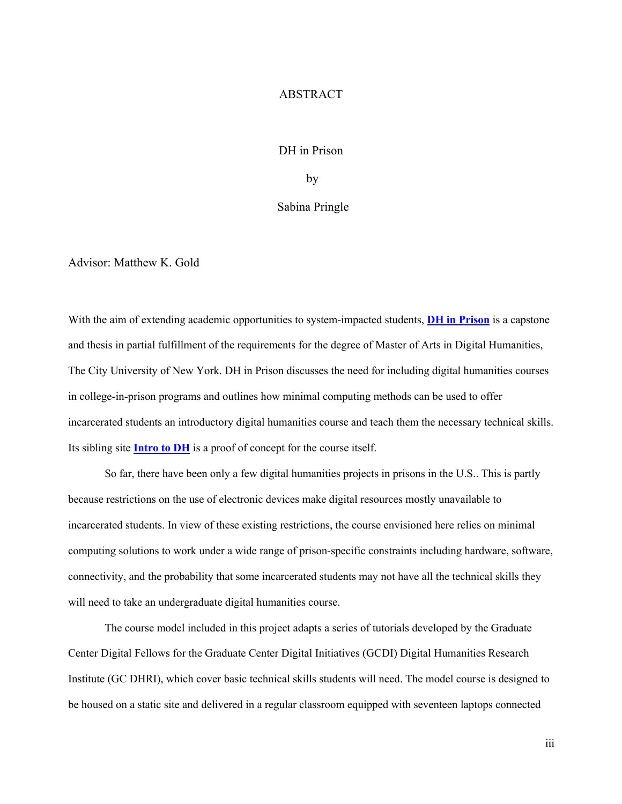#### ABSTRACT

#### DH in Prison

by

#### Sabina Pringle

Advisor: Matthew K. Gold

With the aim of extending academic opportunities to system-impacted students, **DH in Prison** is a capstone and thesis in partial fulfillment of the requirements for the degree of Master of Arts in Digital Humanities, The City University of New York. DH in Prison discusses the need for including digital humanities courses in college-in-prison programs and outlines how minimal computing methods can be used to offer incarcerated students an introductory digital humanities course and teach them the necessary technical skills. Its sibling site **Intro to DH** is a proof of concept for the course itself.

So far, there have been only a few digital humanities projects in prisons in the U.S.. This is partly because restrictions on the use of electronic devices make digital resources mostly unavailable to incarcerated students. In view of these existing restrictions, the course envisioned here relies on minimal computing solutions to work under a wide range of prison-specific constraints including hardware, software, connectivity, and the probability that some incarcerated students may not have all the technical skills they will need to take an undergraduate digital humanities course.

The course model included in this project adapts a series of tutorials developed by the Graduate Center Digital Fellows for the Graduate Center Digital Initiatives (GCDI) Digital Humanities Research Institute (GC DHRI), which cover basic technical skills students will need. The model course is designed to be housed on a static site and delivered in a regular classroom equipped with seventeen laptops connected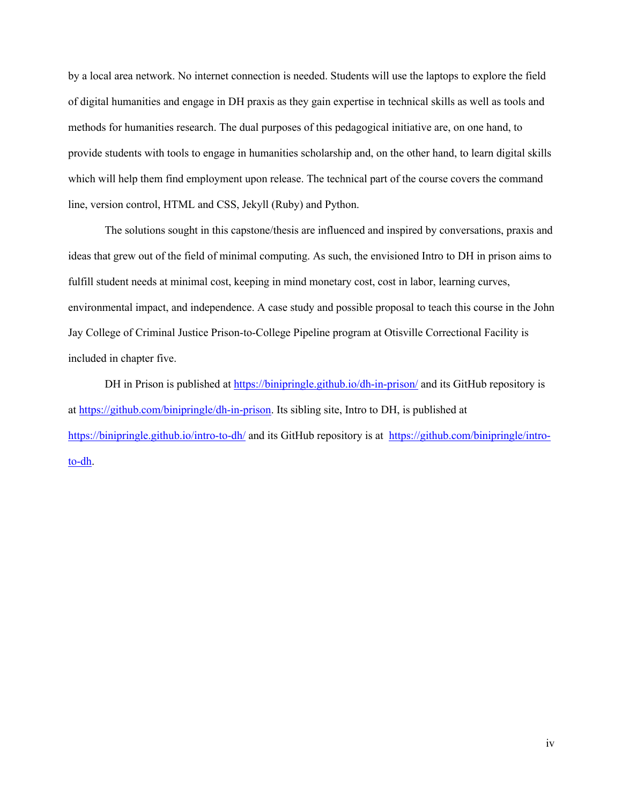by a local area network. No internet connection is needed. Students will use the laptops to explore the field of digital humanities and engage in DH praxis as they gain expertise in technical skills as well as tools and methods for humanities research. The dual purposes of this pedagogical initiative are, on one hand, to provide students with tools to engage in humanities scholarship and, on the other hand, to learn digital skills which will help them find employment upon release. The technical part of the course covers the command line, version control, HTML and CSS, Jekyll (Ruby) and Python.

The solutions sought in this capstone/thesis are influenced and inspired by conversations, praxis and ideas that grew out of the field of minimal computing. As such, the envisioned Intro to DH in prison aims to fulfill student needs at minimal cost, keeping in mind monetary cost, cost in labor, learning curves, environmental impact, and independence. A case study and possible proposal to teach this course in the John Jay College of Criminal Justice Prison-to-College Pipeline program at Otisville Correctional Facility is included in chapter five.

DH in Prison is published at https://binipringle.github.io/dh-in-prison/ and its GitHub repository is at https://github.com/binipringle/dh-in-prison. Its sibling site, Intro to DH, is published at https://binipringle.github.io/intro-to-dh/ and its GitHub repository is at https://github.com/binipringle/introto-dh.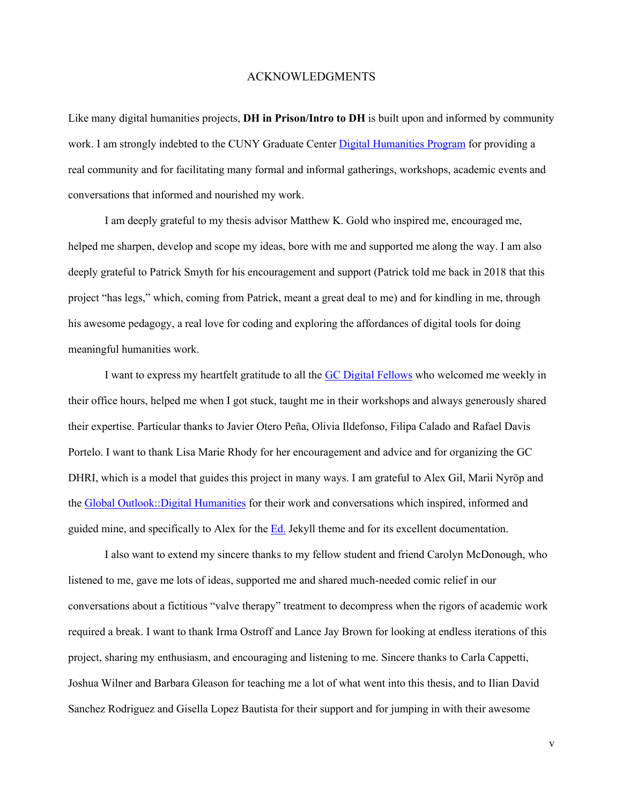#### ACKNOWLEDGMENTS

Like many digital humanities projects, **DH in Prison/Intro to DH** is built upon and informed by community work. I am strongly indebted to the CUNY Graduate Center *Digital Humanities Program* for providing a real community and for facilitating many formal and informal gatherings, workshops, academic events and conversations that informed and nourished my work.

I am deeply grateful to my thesis advisor Matthew K. Gold who inspired me, encouraged me, helped me sharpen, develop and scope my ideas, bore with me and supported me along the way. I am also deeply grateful to Patrick Smyth for his encouragement and support (Patrick told me back in 2018 that this project "has legs," which, coming from Patrick, meant a great deal to me) and for kindling in me, through his awesome pedagogy, a real love for coding and exploring the affordances of digital tools for doing meaningful humanities work.

I want to express my heartfelt gratitude to all the GC Digital Fellows who welcomed me weekly in their office hours, helped me when I got stuck, taught me in their workshops and always generously shared their expertise. Particular thanks to Javier Otero Peña, Olivia Ildefonso, Filipa Calado and Rafael Davis Portelo. I want to thank Lisa Marie Rhody for her encouragement and advice and for organizing the GC DHRI, which is a model that guides this project in many ways. I am grateful to Alex Gil, Marii Nyröp and the Global Outlook::Digital Humanities for their work and conversations which inspired, informed and guided mine, and specifically to Alex for the Ed. Jekyll theme and for its excellent documentation.

I also want to extend my sincere thanks to my fellow student and friend Carolyn McDonough, who listened to me, gave me lots of ideas, supported me and shared much-needed comic relief in our conversations about a fictitious "valve therapy" treatment to decompress when the rigors of academic work required a break. I want to thank Irma Ostroff and Lance Jay Brown for looking at endless iterations of this project, sharing my enthusiasm, and encouraging and listening to me. Sincere thanks to Carla Cappetti, Joshua Wilner and Barbara Gleason for teaching me a lot of what went into this thesis, and to Ilian David Sanchez Rodriguez and Gisella Lopez Bautista for their support and for jumping in with their awesome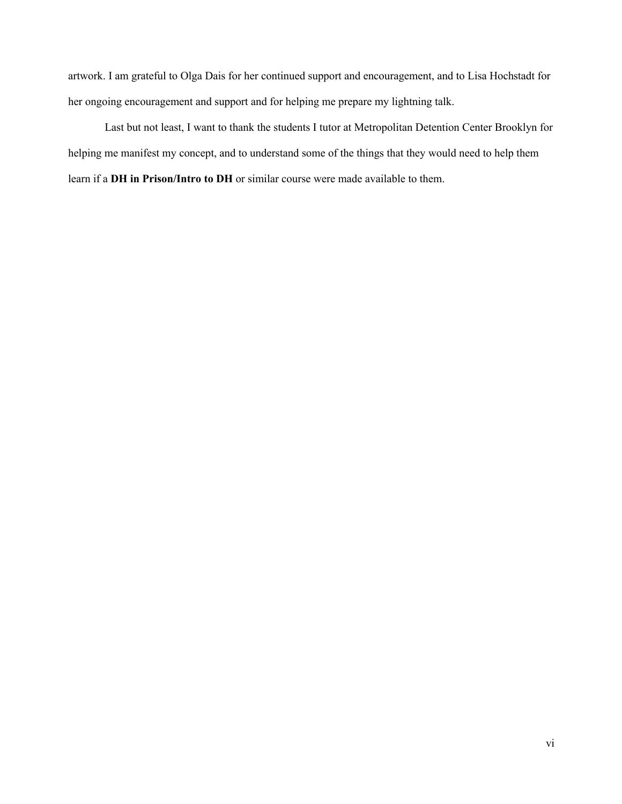artwork. I am grateful to Olga Dais for her continued support and encouragement, and to Lisa Hochstadt for her ongoing encouragement and support and for helping me prepare my lightning talk.

Last but not least, I want to thank the students I tutor at Metropolitan Detention Center Brooklyn for helping me manifest my concept, and to understand some of the things that they would need to help them learn if a **DH in Prison/Intro to DH** or similar course were made available to them.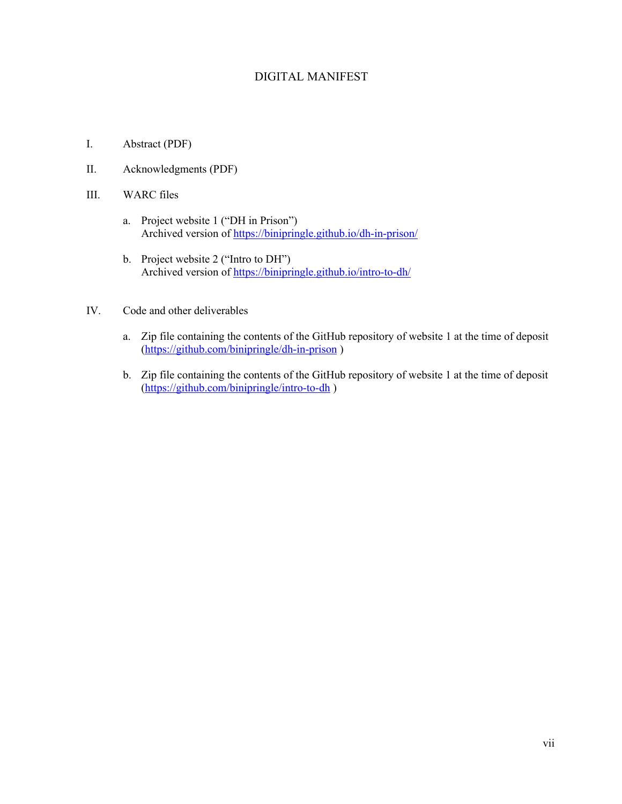### DIGITAL MANIFEST

- I. Abstract (PDF)
- II. Acknowledgments (PDF)
- III. WARC files
	- a. Project website 1 ("DH in Prison") Archived version of https://binipringle.github.io/dh-in-prison/
	- b. Project website 2 ("Intro to DH") Archived version of https://binipringle.github.io/intro-to-dh/
- IV. Code and other deliverables
	- a. Zip file containing the contents of the GitHub repository of website 1 at the time of deposit (https://github.com/binipringle/dh-in-prison )
	- b. Zip file containing the contents of the GitHub repository of website 1 at the time of deposit (https://github.com/binipringle/intro-to-dh )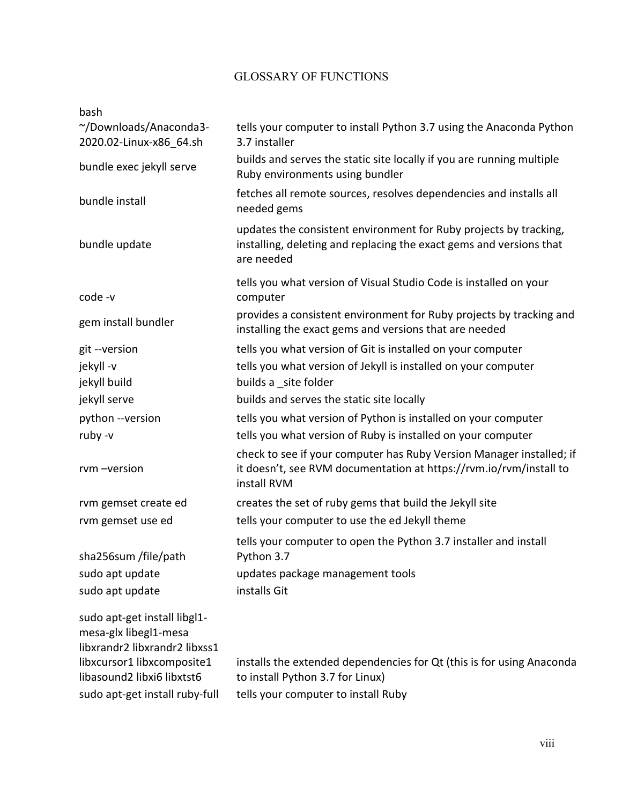### GLOSSARY OF FUNCTIONS

| bash                                                                                                                                               |                                                                                                                                                           |
|----------------------------------------------------------------------------------------------------------------------------------------------------|-----------------------------------------------------------------------------------------------------------------------------------------------------------|
| ~/Downloads/Anaconda3-<br>2020.02-Linux-x86 64.sh                                                                                                  | tells your computer to install Python 3.7 using the Anaconda Python<br>3.7 installer                                                                      |
| bundle exec jekyll serve                                                                                                                           | builds and serves the static site locally if you are running multiple<br>Ruby environments using bundler                                                  |
| bundle install                                                                                                                                     | fetches all remote sources, resolves dependencies and installs all<br>needed gems                                                                         |
| bundle update                                                                                                                                      | updates the consistent environment for Ruby projects by tracking,<br>installing, deleting and replacing the exact gems and versions that<br>are needed    |
| code -v                                                                                                                                            | tells you what version of Visual Studio Code is installed on your<br>computer                                                                             |
| gem install bundler                                                                                                                                | provides a consistent environment for Ruby projects by tracking and<br>installing the exact gems and versions that are needed                             |
| git -- version                                                                                                                                     | tells you what version of Git is installed on your computer                                                                                               |
| jekyll-v                                                                                                                                           | tells you what version of Jekyll is installed on your computer                                                                                            |
| jekyll build                                                                                                                                       | builds a site folder                                                                                                                                      |
| jekyll serve                                                                                                                                       | builds and serves the static site locally                                                                                                                 |
| python --version                                                                                                                                   | tells you what version of Python is installed on your computer                                                                                            |
| ruby -v                                                                                                                                            | tells you what version of Ruby is installed on your computer                                                                                              |
| rvm-version                                                                                                                                        | check to see if your computer has Ruby Version Manager installed; if<br>it doesn't, see RVM documentation at https://rvm.io/rvm/install to<br>install RVM |
| rvm gemset create ed                                                                                                                               | creates the set of ruby gems that build the Jekyll site                                                                                                   |
| rvm gemset use ed                                                                                                                                  | tells your computer to use the ed Jekyll theme                                                                                                            |
| sha256sum /file/path                                                                                                                               | tells your computer to open the Python 3.7 installer and install<br>Python 3.7                                                                            |
| sudo apt update                                                                                                                                    | updates package management tools                                                                                                                          |
| sudo apt update                                                                                                                                    | installs Git                                                                                                                                              |
| sudo apt-get install libgl1-<br>mesa-glx libegl1-mesa<br>libxrandr2 libxrandr2 libxss1<br>libxcursor1 libxcomposite1<br>libasound2 libxi6 libxtst6 | installs the extended dependencies for Qt (this is for using Anaconda<br>to install Python 3.7 for Linux)                                                 |
| sudo apt-get install ruby-full                                                                                                                     | tells your computer to install Ruby                                                                                                                       |
|                                                                                                                                                    |                                                                                                                                                           |